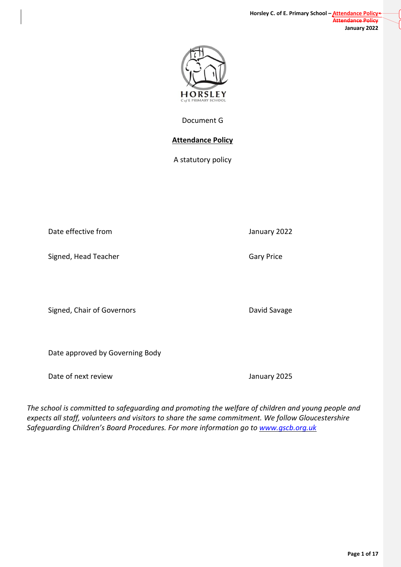**Page 1 of 17**

Document G

## **Attendance Policy**

A statutory policy

Date effective from **Date in the USA CONCORD SERVICES** Danuary 2022

Signed, Head Teacher Gary Price

Signed, Chair of Governors **David Savage** David Savage

Date approved by Governing Body

Date of next review The Contract of the United States of the United States of the United States of the United States of the United States of the United States of the United States of the United States of the United States

*The school is committed to safeguarding and promoting the welfare of children and young people and expects all staff, volunteers and visitors to share the same commitment. We follow Gloucestershire Safeguarding Children's Board Procedures. For more information go to [www.gscb.org.uk](http://www.gscb.org.uk/)*

HORSLEY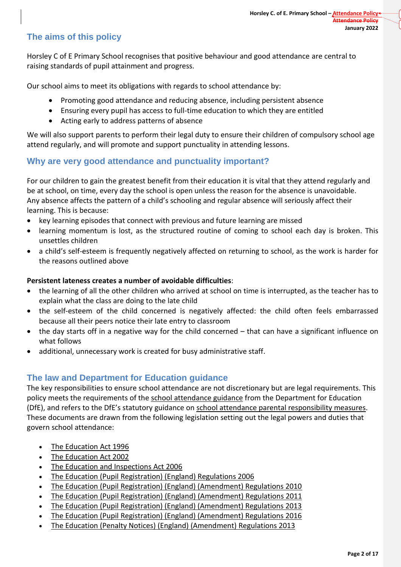# **The aims of this policy**

Horsley C of E Primary School recognises that positive behaviour and good attendance are central to raising standards of pupil attainment and progress.

Our school aims to meet its obligations with regards to school attendance by:

- Promoting good attendance and reducing absence, including persistent absence
- Ensuring every pupil has access to full-time education to which they are entitled
- Acting early to address patterns of absence

We will also support parents to perform their legal duty to ensure their children of compulsory school age attend regularly, and will promote and support punctuality in attending lessons.

# **Why are very good attendance and punctuality important?**

For our children to gain the greatest benefit from their education it is vital that they attend regularly and be at school, on time, every day the school is open unless the reason for the absence is unavoidable. Any absence affects the pattern of a child's schooling and regular absence will seriously affect their learning. This is because:

- key learning episodes that connect with previous and future learning are missed
- learning momentum is lost, as the structured routine of coming to school each day is broken. This unsettles children
- a child's self-esteem is frequently negatively affected on returning to school, as the work is harder for the reasons outlined above

### **Persistent lateness creates a number of avoidable difficulties**:

- the learning of all the other children who arrived at school on time is interrupted, as the teacher has to explain what the class are doing to the late child
- the self-esteem of the child concerned is negatively affected: the child often feels embarrassed because all their peers notice their late entry to classroom
- the day starts off in a negative way for the child concerned that can have a significant influence on what follows
- additional, unnecessary work is created for busy administrative staff.

## **The law and Department for Education guidance**

The key responsibilities to ensure school attendance are not discretionary but are legal requirements. This policy meets the requirements of the school [attendance](https://www.gov.uk/government/publications/school-attendance) guidance from the Department for Education (DfE), and refers to the DfE's statutory guidance on school attendance parental [responsibility](https://www.gov.uk/government/publications/parental-responsibility-measures-for-behaviour-and-attendance) measures. These documents are drawn from the following legislation setting out the legal powers and duties that govern school attendance:

- The [Education](https://www.legislation.gov.uk/ukpga/1996/56/part/VI/chapter/II) Act 1996
- [The Education Act 2002](http://www.legislation.gov.uk/ukpga/2002/32/part/3/chapter/3)
- [The Education and Inspections Act 2006](http://www.legislation.gov.uk/ukpga/2006/40/part/7/chapter/2/crossheading/school-attendance)
- [The Education \(Pupil Registration\) \(England\) Regulations 2006](http://www.legislation.gov.uk/uksi/2006/1751/contents/made)
- [The Education \(Pupil Registration\) \(England\) \(Amendment\) Regulations 2010](http://www.centralbedfordshire.gov.uk/Images/amendment-regulation-2010_tcm3-8642.pdf)
- The Education (Pupil Registration) (England) [\(Amendment\)](http://www.legislation.gov.uk/uksi/2011/1625/made) Regulations 2011
- [The Education \(Pupil Registration\) \(England\) \(Amendment\) Regulations 2013](http://www.legislation.gov.uk/uksi/2013/756/made)
- [The Education \(Pupil Registration\) \(England\) \(Amendment\) Regulations 2016](http://legislation.data.gov.uk/uksi/2016/792/made/data.html)
- [The Education \(Penalty Notices\) \(England\) \(Amendment\) Regulations 2013](http://www.legislation.gov.uk/uksi/2013/756/pdfs/uksiem_20130756_en.pdf)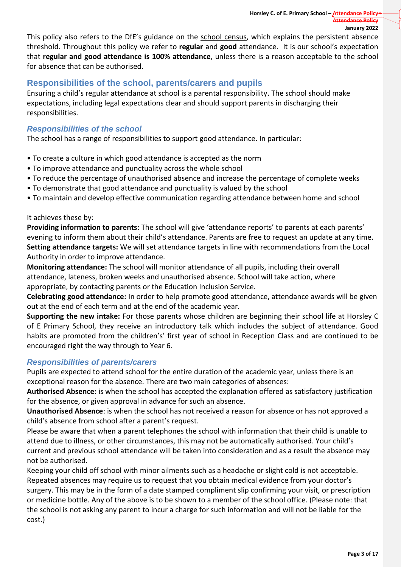This policy also refers to the DfE's guidance on the school [census,](https://www.gov.uk/government/publications/school-census-2017-to-2018-guide-for-schools-and-las) which explains the persistent absence threshold. Throughout this policy we refer to **regular** and **good** attendance. It is our school's expectation that **regular and good attendance is 100% attendance**, unless there is a reason acceptable to the school for absence that can be authorised.

# **Responsibilities of the school, parents/carers and pupils**

Ensuring a child's regular attendance at school is a parental responsibility. The school should make expectations, including legal expectations clear and should support parents in discharging their responsibilities.

## *Responsibilities of the school*

The school has a range of responsibilities to support good attendance. In particular:

- To create a culture in which good attendance is accepted as the norm
- To improve attendance and punctuality across the whole school
- To reduce the percentage of unauthorised absence and increase the percentage of complete weeks
- To demonstrate that good attendance and punctuality is valued by the school
- To maintain and develop effective communication regarding attendance between home and school

### It achieves these by:

**Providing information to parents:** The school will give 'attendance reports' to parents at each parents' evening to inform them about their child's attendance. Parents are free to request an update at any time. **Setting attendance targets:** We will set attendance targets in line with recommendations from the Local Authority in order to improve attendance.

**Monitoring attendance:** The school will monitor attendance of all pupils, including their overall attendance, lateness, broken weeks and unauthorised absence. School will take action, where appropriate, by contacting parents or the Education Inclusion Service.

**Celebrating good attendance:** In order to help promote good attendance, attendance awards will be given out at the end of each term and at the end of the academic year.

**Supporting the new intake:** For those parents whose children are beginning their school life at Horsley C of E Primary School, they receive an introductory talk which includes the subject of attendance. Good habits are promoted from the children's' first year of school in Reception Class and are continued to be encouraged right the way through to Year 6.

## *Responsibilities of parents/carers*

Pupils are expected to attend school for the entire duration of the academic year, unless there is an exceptional reason for the absence. There are two main categories of absences:

**Authorised Absence:** is when the school has accepted the explanation offered as satisfactory justification for the absence, or given approval in advance for such an absence.

**Unauthorised Absence**: is when the school has not received a reason for absence or has not approved a child's absence from school after a parent's request.

Please be aware that when a parent telephones the school with information that their child is unable to attend due to illness, or other circumstances, this may not be automatically authorised. Your child's current and previous school attendance will be taken into consideration and as a result the absence may not be authorised.

Keeping your child off school with minor ailments such as a headache or slight cold is not acceptable. Repeated absences may require us to request that you obtain medical evidence from your doctor's surgery. This may be in the form of a date stamped compliment slip confirming your visit, or prescription or medicine bottle. Any of the above is to be shown to a member of the school office. (Please note: that the school is not asking any parent to incur a charge for such information and will not be liable for the cost.)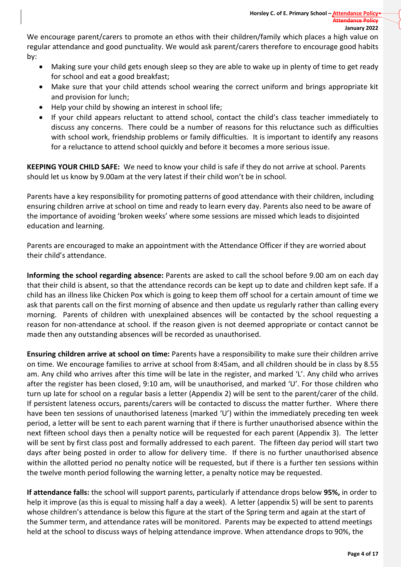We encourage parent/carers to promote an ethos with their children/family which places a high value on regular attendance and good punctuality. We would ask parent/carers therefore to encourage good habits by:

- Making sure your child gets enough sleep so they are able to wake up in plenty of time to get ready for school and eat a good breakfast;
- Make sure that your child attends school wearing the correct uniform and brings appropriate kit and provision for lunch;
- Help your child by showing an interest in school life;
- If your child appears reluctant to attend school, contact the child's class teacher immediately to discuss any concerns. There could be a number of reasons for this reluctance such as difficulties with school work, friendship problems or family difficulties. It is important to identify any reasons for a reluctance to attend school quickly and before it becomes a more serious issue.

**KEEPING YOUR CHILD SAFE:** We need to know your child is safe if they do not arrive at school. Parents should let us know by 9.00am at the very latest if their child won't be in school.

Parents have a key responsibility for promoting patterns of good attendance with their children, including ensuring children arrive at school on time and ready to learn every day. Parents also need to be aware of the importance of avoiding 'broken weeks' where some sessions are missed which leads to disjointed education and learning.

Parents are encouraged to make an appointment with the Attendance Officer if they are worried about their child's attendance.

**Informing the school regarding absence:** Parents are asked to call the school before 9.00 am on each day that their child is absent, so that the attendance records can be kept up to date and children kept safe. If a child has an illness like Chicken Pox which is going to keep them off school for a certain amount of time we ask that parents call on the first morning of absence and then update us regularly rather than calling every morning. Parents of children with unexplained absences will be contacted by the school requesting a reason for non-attendance at school. If the reason given is not deemed appropriate or contact cannot be made then any outstanding absences will be recorded as unauthorised.

**Ensuring children arrive at school on time:** Parents have a responsibility to make sure their children arrive on time. We encourage families to arrive at school from 8:45am, and all children should be in class by 8.55 am. Any child who arrives after this time will be late in the register, and marked 'L'. Any child who arrives after the register has been closed, 9:10 am, will be unauthorised, and marked 'U'. For those children who turn up late for school on a regular basis a letter (Appendix 2) will be sent to the parent/carer of the child. If persistent lateness occurs, parents/carers will be contacted to discuss the matter further. Where there have been ten sessions of unauthorised lateness (marked 'U') within the immediately preceding ten week period, a letter will be sent to each parent warning that if there is further unauthorised absence within the next fifteen school days then a penalty notice will be requested for each parent (Appendix 3). The letter will be sent by first class post and formally addressed to each parent. The fifteen day period will start two days after being posted in order to allow for delivery time. If there is no further unauthorised absence within the allotted period no penalty notice will be requested, but if there is a further ten sessions within the twelve month period following the warning letter, a penalty notice may be requested.

**If attendance falls:** the school will support parents, particularly if attendance drops below **95%,** in order to help it improve (as this is equal to missing half a day a week). A letter (appendix 5) will be sent to parents whose children's attendance is below this figure at the start of the Spring term and again at the start of the Summer term, and attendance rates will be monitored. Parents may be expected to attend meetings held at the school to discuss ways of helping attendance improve. When attendance drops to 90%, the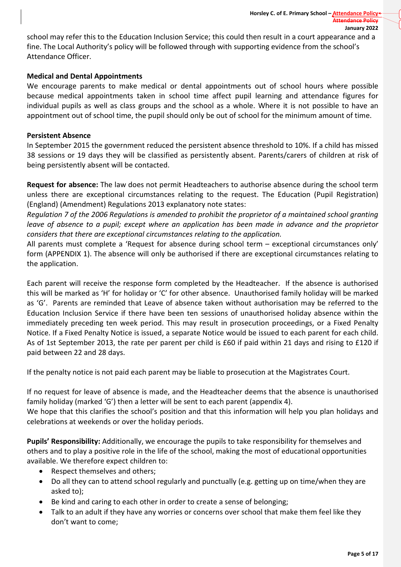school may refer this to the Education Inclusion Service; this could then result in a court appearance and a fine. The Local Authority's policy will be followed through with supporting evidence from the school's Attendance Officer.

## **Medical and Dental Appointments**

We encourage parents to make medical or dental appointments out of school hours where possible because medical appointments taken in school time affect pupil learning and attendance figures for individual pupils as well as class groups and the school as a whole. Where it is not possible to have an appointment out of school time, the pupil should only be out of school for the minimum amount of time.

#### **Persistent Absence**

In September 2015 the government reduced the persistent absence threshold to 10%. If a child has missed 38 sessions or 19 days they will be classified as persistently absent. Parents/carers of children at risk of being persistently absent will be contacted.

**Request for absence:** The law does not permit Headteachers to authorise absence during the school term unless there are exceptional circumstances relating to the request. The Education (Pupil Registration) (England) (Amendment) Regulations 2013 explanatory note states:

Regulation 7 of the 2006 Regulations is amended to prohibit the proprietor of a maintained school granting leave of absence to a pupil; except where an application has been made in advance and the proprietor *considers that there are exceptional circumstances relating to the application.*

All parents must complete a 'Request for absence during school term – exceptional circumstances only' form (APPENDIX 1). The absence will only be authorised if there are exceptional circumstances relating to the application.

Each parent will receive the response form completed by the Headteacher. If the absence is authorised this will be marked as 'H' for holiday or 'C' for other absence. Unauthorised family holiday will be marked as 'G'. Parents are reminded that Leave of absence taken without authorisation may be referred to the Education Inclusion Service if there have been ten sessions of unauthorised holiday absence within the immediately preceding ten week period. This may result in prosecution proceedings, or a Fixed Penalty Notice. If a Fixed Penalty Notice is issued, a separate Notice would be issued to each parent for each child. As of 1st September 2013, the rate per parent per child is £60 if paid within 21 days and rising to £120 if paid between 22 and 28 days.

If the penalty notice is not paid each parent may be liable to prosecution at the Magistrates Court.

If no request for leave of absence is made, and the Headteacher deems that the absence is unauthorised family holiday (marked 'G') then a letter will be sent to each parent (appendix 4). We hope that this clarifies the school's position and that this information will help you plan holidays and celebrations at weekends or over the holiday periods.

**Pupils' Responsibility:** Additionally, we encourage the pupils to take responsibility for themselves and others and to play a positive role in the life of the school, making the most of educational opportunities available. We therefore expect children to:

- Respect themselves and others;
- Do all they can to attend school regularly and punctually (e.g. getting up on time/when they are asked to);
- Be kind and caring to each other in order to create a sense of belonging;
- Talk to an adult if they have any worries or concerns over school that make them feel like they don't want to come;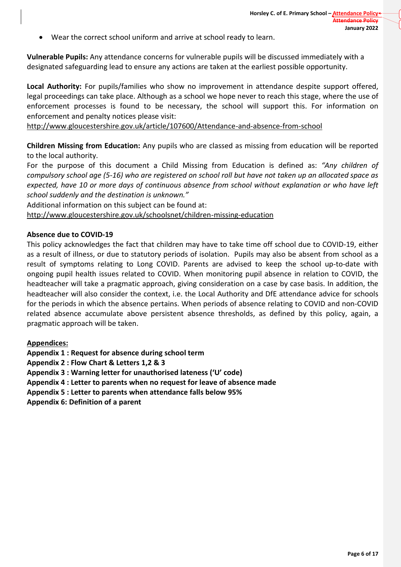Wear the correct school uniform and arrive at school ready to learn.

**Vulnerable Pupils:** Any attendance concerns for vulnerable pupils will be discussed immediately with a designated safeguarding lead to ensure any actions are taken at the earliest possible opportunity.

**Local Authority:** For pupils/families who show no improvement in attendance despite support offered, legal proceedings can take place. Although as a school we hope never to reach this stage, where the use of enforcement processes is found to be necessary, the school will support this. For information on enforcement and penalty notices please visit:

<http://www.gloucestershire.gov.uk/article/107600/Attendance-and-absence-from-school>

**Children Missing from Education:** Any pupils who are classed as missing from education will be reported to the local authority.

For the purpose of this document a Child Missing from Education is defined as: *"Any children of* compulsory school age (5-16) who are registered on school roll but have not taken up an allocated space as *expected, have 10 or more days of continuous absence from school without explanation or who have left school suddenly and the destination is unknown."*

Additional information on this subject can be found at:

<http://www.gloucestershire.gov.uk/schoolsnet/children-missing-education>

#### **Absence due to COVID-19**

This policy acknowledges the fact that children may have to take time off school due to COVID-19, either as a result of illness, or due to statutory periods of isolation. Pupils may also be absent from school as a result of symptoms relating to Long COVID. Parents are advised to keep the school up-to-date with ongoing pupil health issues related to COVID. When monitoring pupil absence in relation to COVID, the headteacher will take a pragmatic approach, giving consideration on a case by case basis. In addition, the headteacher will also consider the context, i.e. the Local Authority and DfE attendance advice for schools for the periods in which the absence pertains. When periods of absence relating to COVID and non-COVID related absence accumulate above persistent absence thresholds, as defined by this policy, again, a pragmatic approach will be taken.

#### **Appendices:**

**Appendix 1 : Request for absence during school term**

**Appendix 2 : Flow Chart & Letters 1,2 & 3**

**Appendix 3 : Warning letter for unauthorised lateness ('U' code)**

**Appendix 4 : Letter to parents when no request for leave of absence made**

**Appendix 5 : Letter to parents when attendance falls below 95%**

**Appendix 6: Definition of a parent**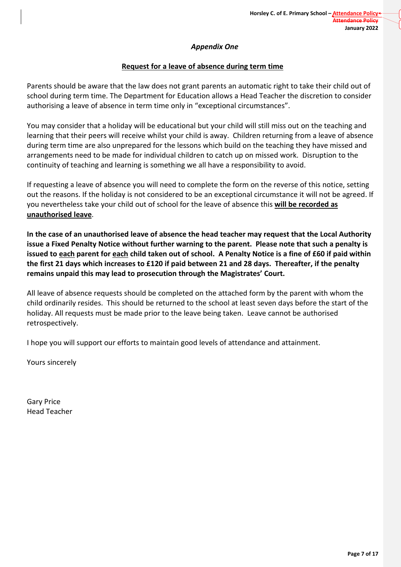## *Appendix One*

## **Request for a leave of absence during term time**

Parents should be aware that the law does not grant parents an automatic right to take their child out of school during term time. The Department for Education allows a Head Teacher the discretion to consider authorising a leave of absence in term time only in "exceptional circumstances".

You may consider that a holiday will be educational but your child will still miss out on the teaching and learning that their peers will receive whilst your child is away. Children returning from a leave of absence during term time are also unprepared for the lessons which build on the teaching they have missed and arrangements need to be made for individual children to catch up on missed work. Disruption to the continuity of teaching and learning is something we all have a responsibility to avoid.

If requesting a leave of absence you will need to complete the form on the reverse of this notice, setting out the reasons. If the holiday is not considered to be an exceptional circumstance it will not be agreed. If you nevertheless take your child out of school for the leave of absence this **will be recorded as unauthorised leave**.

In the case of an unauthorised leave of absence the head teacher may request that the Local Authority **issue a Fixed Penalty Notice without further warning to the parent. Please note that such a penalty is** issued to each parent for each child taken out of school. A Penalty Notice is a fine of £60 if paid within the first 21 days which increases to £120 if paid between 21 and 28 days. Thereafter, if the penalty **remains unpaid this may lead to prosecution through the Magistrates' Court.**

All leave of absence requests should be completed on the attached form by the parent with whom the child ordinarily resides. This should be returned to the school at least seven days before the start of the holiday. All requests must be made prior to the leave being taken. Leave cannot be authorised retrospectively.

I hope you will support our efforts to maintain good levels of attendance and attainment.

Yours sincerely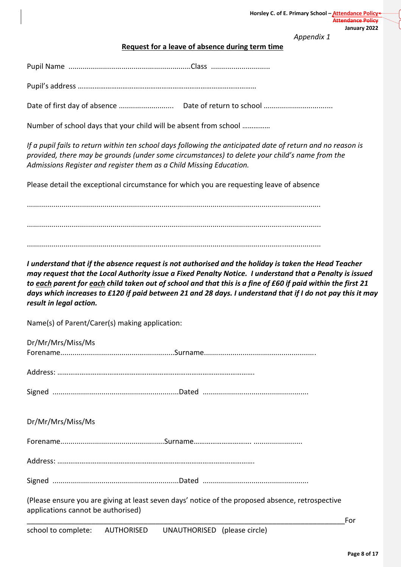*Appendix 1*

### **Request for a leave of absence during term time**

Pupil's address ……………………………………………………………………………………

Date of first day of absence ........................... Date of return to school ..................................

Number of school days that your child will be absent from school ……………

If a pupil fails to return within ten school days following the anticipated date of return and no reason is *provided, there may be grounds (under some circumstances) to delete your child's name from the Admissions Register and register them as a Child Missing Education.*

Please detail the exceptional circumstance for which you are requesting leave of absence

................................................................................................................................................ ................................................................................................................................................ ................................................................................................................................................

I understand that if the absence request is not authorised and the holiday is taken the Head Teacher *may request that the Local Authority issue a Fixed Penalty Notice. I understand that a Penalty is issued* to each parent for each child taken out of school and that this is a fine of £60 if paid within the first 21 days which increases to £120 if paid between 21 and 28 days. I understand that if I do not pay this it may *result in legal action.*

Name(s) of Parent/Carer(s) making application:

| Dr/Mr/Mrs/Miss/Ms                                                                                |     |
|--------------------------------------------------------------------------------------------------|-----|
|                                                                                                  |     |
|                                                                                                  |     |
|                                                                                                  |     |
|                                                                                                  |     |
|                                                                                                  |     |
|                                                                                                  |     |
| Dr/Mr/Mrs/Miss/Ms                                                                                |     |
|                                                                                                  |     |
|                                                                                                  |     |
|                                                                                                  |     |
|                                                                                                  |     |
|                                                                                                  |     |
|                                                                                                  |     |
| (Please ensure you are giving at least seven days' notice of the proposed absence, retrospective |     |
| applications cannot be authorised)                                                               |     |
|                                                                                                  | For |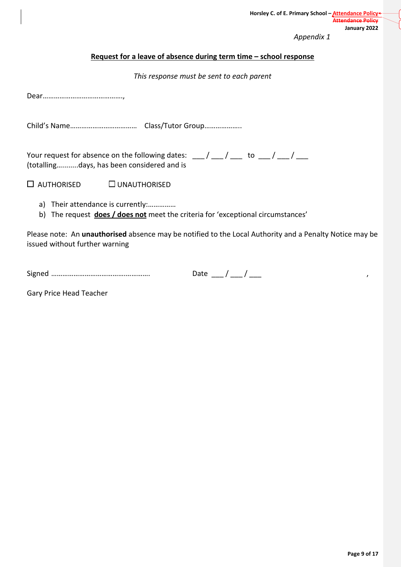*Appendix 1*

#### **Request for a leave of absence during term time – school response**

*This response must be sent to each parent*

Dear…………………………………….,

Child's Name……………………………… Class/Tutor Group………………..

Your request for absence on the following dates:  $\frac{1}{\sqrt{1-\frac{1}{n}}}$  to  $\frac{1}{\sqrt{1-\frac{1}{n}}}$ (totalling…........days, has been considered and is

 $\Box$  AUTHORISED  $\Box$  UNAUTHORISED

- a) Their attendance is currently:……………
- b) The request **does / does not** meet the criteria for 'exceptional circumstances'

Please note: An **unauthorised** absence may be notified to the Local Authority and a Penalty Notice may be issued without further warning

| - -<br><b>SIR</b> |  |
|-------------------|--|
|                   |  |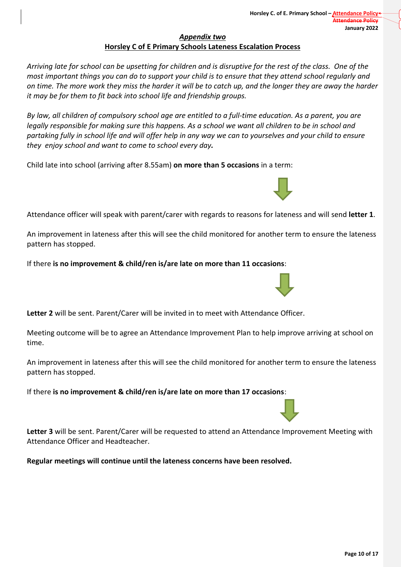## *Appendix two* **Horsley C of E Primary Schools Lateness Escalation Process**

Arriving late for school can be upsetting for children and is disruptive for the rest of the class. One of the most important things you can do to support your child is to ensure that they attend school regularly and on time. The more work they miss the harder it will be to catch up, and the longer they are away the harder *it may be for them to fit back into school life and friendship groups.*

By law, all children of compulsory school age are entitled to a full-time education. As a parent, you are legally responsible for making sure this happens. As a school we want all children to be in school and partaking fully in school life and will offer help in any way we can to yourselves and your child to ensure *they enjoy school and want to come to school every day.*

Child late into school (arriving after 8.55am) **on more than 5 occasions** in a term:

Attendance officer will speak with parent/carer with regards to reasons for lateness and will send **letter 1**.

An improvement in lateness after this will see the child monitored for another term to ensure the lateness pattern has stopped.

If there **is no improvement & child/ren is/are late on more than 11 occasions**:

**Letter 2** will be sent. Parent/Carer will be invited in to meet with Attendance Officer.

Meeting outcome will be to agree an Attendance Improvement Plan to help improve arriving at school on time.

An improvement in lateness after this will see the child monitored for another term to ensure the lateness pattern has stopped.

If there **is no improvement & child/ren is/are late on more than 17 occasions**:

**Letter 3** will be sent. Parent/Carer will be requested to attend an Attendance Improvement Meeting with Attendance Officer and Headteacher.

**Regular meetings will continue until the lateness concerns have been resolved.**





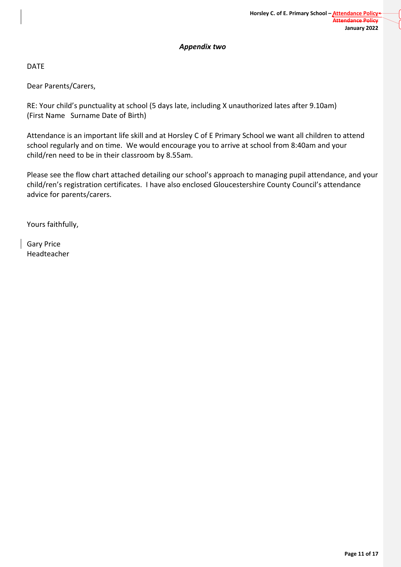#### *Appendix two*

DATE

Dear Parents/Carers,

RE: Your child's punctuality at school (5 days late, including X unauthorized lates after 9.10am) (First Name Surname Date of Birth)

Attendance is an important life skill and at Horsley C of E Primary School we want all children to attend school regularly and on time. We would encourage you to arrive at school from 8:40am and your child/ren need to be in their classroom by 8.55am.

Please see the flow chart attached detailing our school's approach to managing pupil attendance, and your child/ren's registration certificates. I have also enclosed Gloucestershire County Council's attendance advice for parents/carers.

Yours faithfully,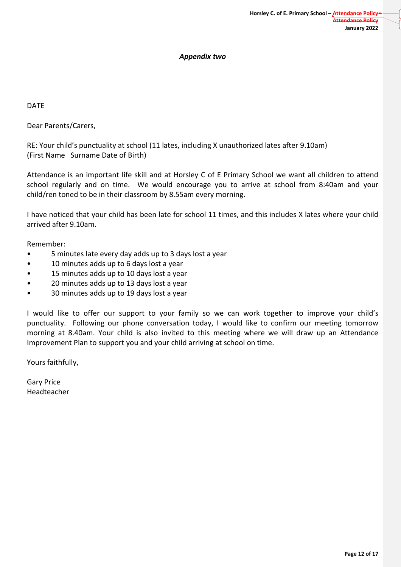### *Appendix two*

DATE

Dear Parents/Carers,

RE: Your child's punctuality at school (11 lates, including X unauthorized lates after 9.10am) (First Name Surname Date of Birth)

Attendance is an important life skill and at Horsley C of E Primary School we want all children to attend school regularly and on time. We would encourage you to arrive at school from 8:40am and your child/ren toned to be in their classroom by 8.55am every morning.

I have noticed that your child has been late for school 11 times, and this includes X lates where your child arrived after 9.10am.

Remember:

- 5 minutes late every day adds up to 3 days lost a year
- 10 minutes adds up to 6 days lost a year
- 15 minutes adds up to 10 days lost a year
- 20 minutes adds up to 13 days lost a year
- 30 minutes adds up to 19 days lost a year

I would like to offer our support to your family so we can work together to improve your child's punctuality. Following our phone conversation today, I would like to confirm our meeting tomorrow morning at 8.40am. Your child is also invited to this meeting where we will draw up an Attendance Improvement Plan to support you and your child arriving at school on time.

Yours faithfully,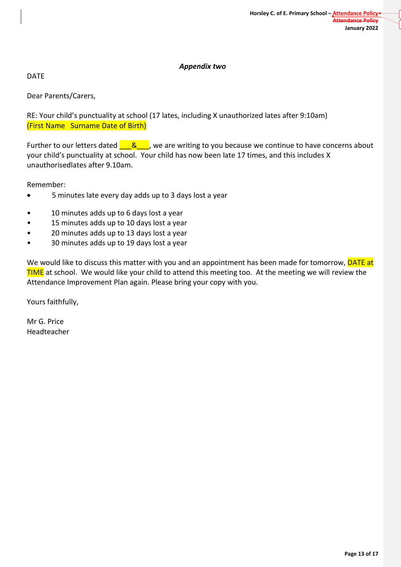## *Appendix two*

DATE

Dear Parents/Carers,

RE: Your child's punctuality at school (17 lates, including X unauthorized lates after 9:10am) (First Name Surname Date of Birth)

Further to our letters dated  $\frac{8}{100}$ , we are writing to you because we continue to have concerns about your child's punctuality at school. Your child has now been late 17 times, and this includes X unauthorisedlates after 9.10am.

Remember:

- 5 minutes late every day adds up to 3 days lost a year
- 10 minutes adds up to 6 days lost a year
- 15 minutes adds up to 10 days lost a year
- 20 minutes adds up to 13 days lost a year
- 30 minutes adds up to 19 days lost a year

We would like to discuss this matter with you and an appointment has been made for tomorrow, **DATE at TIME** at school. We would like your child to attend this meeting too. At the meeting we will review the Attendance Improvement Plan again. Please bring your copy with you.

Yours faithfully,

Mr G. Price Headteacher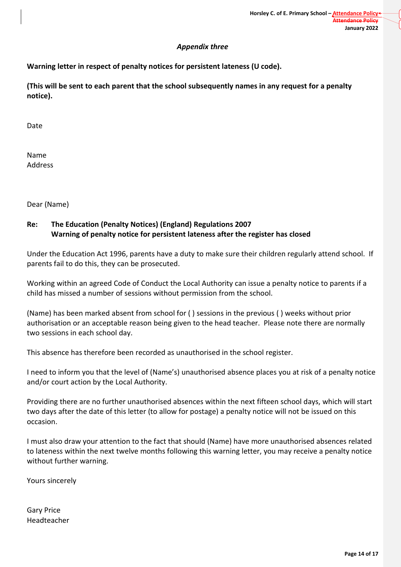### *Appendix three*

## **Warning letter in respect of penalty notices for persistent lateness (U code).**

**(This will be sent to each parent that the school subsequently names in any request for a penalty notice).**

Date

Name Address

Dear (Name)

## **Re: The Education (Penalty Notices) (England) Regulations 2007 Warning of penalty notice for persistent lateness after the register has closed**

Under the Education Act 1996, parents have a duty to make sure their children regularly attend school. If parents fail to do this, they can be prosecuted.

Working within an agreed Code of Conduct the Local Authority can issue a penalty notice to parents if a child has missed a number of sessions without permission from the school.

(Name) has been marked absent from school for ( ) sessions in the previous ( ) weeks without prior authorisation or an acceptable reason being given to the head teacher. Please note there are normally two sessions in each school day.

This absence has therefore been recorded as unauthorised in the school register.

I need to inform you that the level of (Name's) unauthorised absence places you at risk of a penalty notice and/or court action by the Local Authority.

Providing there are no further unauthorised absences within the next fifteen school days, which will start two days after the date of this letter (to allow for postage) a penalty notice will not be issued on this occasion.

I must also draw your attention to the fact that should (Name) have more unauthorised absences related to lateness within the next twelve months following this warning letter, you may receive a penalty notice without further warning.

Yours sincerely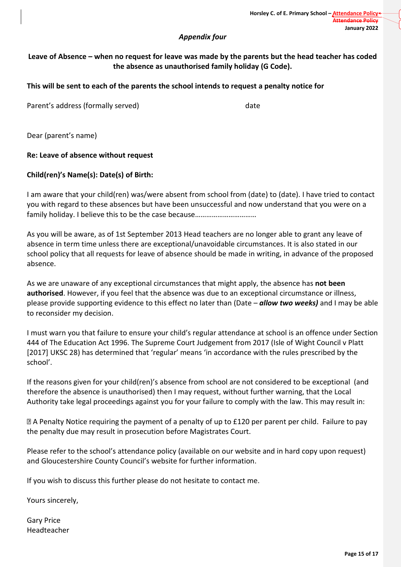#### *Appendix four*

## Leave of Absence – when no request for leave was made by the parents but the head teacher has coded **the absence as unauthorised family holiday (G Code).**

### **This will be sent to each of the parents the school intends to request a penalty notice for**

Parent's address (formally served) date

Dear (parent's name)

#### **Re: Leave of absence without request**

### **Child(ren)'s Name(s): Date(s) of Birth:**

I am aware that your child(ren) was/were absent from school from (date) to (date). I have tried to contact you with regard to these absences but have been unsuccessful and now understand that you were on a family holiday. I believe this to be the case because……………………………

As you will be aware, as of 1st September 2013 Head teachers are no longer able to grant any leave of absence in term time unless there are exceptional/unavoidable circumstances. It is also stated in our school policy that all requests for leave of absence should be made in writing, in advance of the proposed absence.

As we are unaware of any exceptional circumstances that might apply, the absence has **not been authorised**. However, if you feel that the absence was due to an exceptional circumstance or illness, please provide supporting evidence to this effect no later than (Date – *allow two weeks)* and I may be able to reconsider my decision.

I must warn you that failure to ensure your child's regular attendance at school is an offence under Section 444 of The Education Act 1996. The Supreme Court Judgement from 2017 (Isle of Wight Council v Platt [2017] UKSC 28) has determined that 'regular' means 'in accordance with the rules prescribed by the school'.

If the reasons given for your child(ren)'s absence from school are not considered to be exceptional (and therefore the absence is unauthorised) then I may request, without further warning, that the Local Authority take legal proceedings against you for your failure to comply with the law. This may result in:

A Penalty Notice requiring the payment of a penalty of up to £120 per parent per child. Failure to pay the penalty due may result in prosecution before Magistrates Court.

Please refer to the school's attendance policy (available on our website and in hard copy upon request) and Gloucestershire County Council's website for further information.

If you wish to discuss this further please do not hesitate to contact me.

Yours sincerely,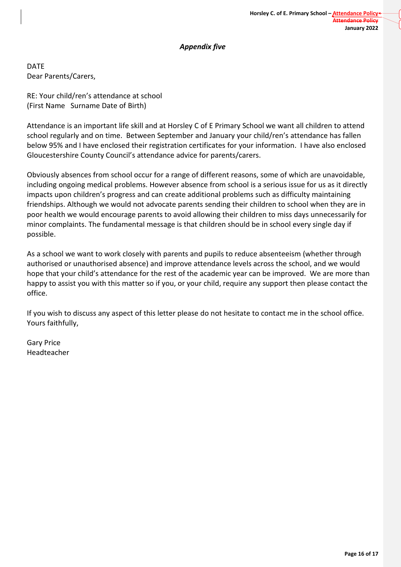### *Appendix five*

DATE Dear Parents/Carers,

RE: Your child/ren's attendance at school (First Name Surname Date of Birth)

Attendance is an important life skill and at Horsley C of E Primary School we want all children to attend school regularly and on time. Between September and January your child/ren's attendance has fallen below 95% and I have enclosed their registration certificates for your information. I have also enclosed Gloucestershire County Council's attendance advice for parents/carers.

Obviously absences from school occur for a range of different reasons, some of which are unavoidable, including ongoing medical problems. However absence from school is a serious issue for us as it directly impacts upon children's progress and can create additional problems such as difficulty maintaining friendships. Although we would not advocate parents sending their children to school when they are in poor health we would encourage parents to avoid allowing their children to miss days unnecessarily for minor complaints. The fundamental message is that children should be in school every single day if possible.

As a school we want to work closely with parents and pupils to reduce absenteeism (whether through authorised or unauthorised absence) and improve attendance levels across the school, and we would hope that your child's attendance for the rest of the academic year can be improved. We are more than happy to assist you with this matter so if you, or your child, require any support then please contact the office.

If you wish to discuss any aspect of this letter please do not hesitate to contact me in the school office. Yours faithfully,